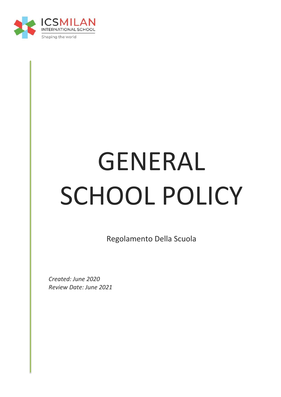

# GENERAL SCHOOL POLICY

Regolamento Della Scuola

*Created: June 2020 Review Date: June 2021*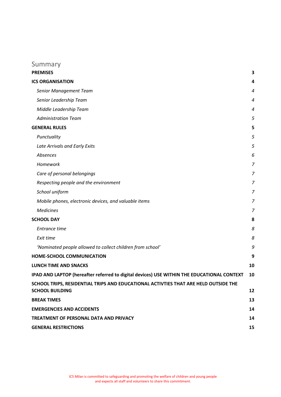# Summary

| <b>PREMISES</b>                                                                                               | 3                |
|---------------------------------------------------------------------------------------------------------------|------------------|
| <b>ICS ORGANISATION</b>                                                                                       | 4                |
| Senior Management Team                                                                                        | $\boldsymbol{4}$ |
| Senior Leadership Team                                                                                        | 4                |
| Middle Leadership Team                                                                                        | $\overline{a}$   |
| <b>Administration Team</b>                                                                                    | 5                |
| <b>GENERAL RULES</b>                                                                                          | 5                |
| Punctuality                                                                                                   | 5                |
| Late Arrivals and Early Exits                                                                                 | 5                |
| Absences                                                                                                      | 6                |
| Homework                                                                                                      | 7                |
| Care of personal belongings                                                                                   | 7                |
| Respecting people and the environment                                                                         | 7                |
| School uniform                                                                                                | 7                |
| Mobile phones, electronic devices, and valuable items                                                         | 7                |
| <b>Medicines</b>                                                                                              | 7                |
| <b>SCHOOL DAY</b>                                                                                             | 8                |
| Entrance time                                                                                                 | 8                |
| Exit time                                                                                                     | 8                |
| 'Nominated people allowed to collect children from school'                                                    | 9                |
| HOME-SCHOOL COMMUNICATION                                                                                     | 9                |
| <b>LUNCH TIME AND SNACKS</b>                                                                                  | 10               |
| IPAD AND LAPTOP (hereafter referred to digital devices) USE WITHIN THE EDUCATIONAL CONTEXT                    | 10               |
| SCHOOL TRIPS, RESIDENTIAL TRIPS AND EDUCATIONAL ACTIVTIES THAT ARE HELD OUTSIDE THE<br><b>SCHOOL BUILDING</b> | 12               |
| <b>BREAK TIMES</b>                                                                                            | 13               |
| <b>EMERGENCIES AND ACCIDENTS</b>                                                                              | 14               |
| TREATMENT OF PERSONAL DATA AND PRIVACY                                                                        | 14               |
| <b>GENERAL RESTRICTIONS</b>                                                                                   | 15               |
|                                                                                                               |                  |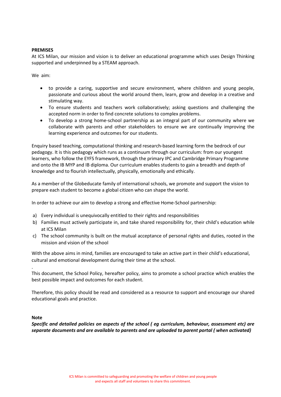# <span id="page-2-0"></span>**PREMISES**

At ICS Milan, our mission and vision is to deliver an educational programme which uses Design Thinking supported and underpinned by a STEAM approach.

We aim:

- to provide a caring, supportive and secure environment, where children and young people, passionate and curious about the world around them, learn, grow and develop in a creative and stimulating way.
- To ensure students and teachers work collaboratively; asking questions and challenging the accepted norm in order to find concrete solutions to complex problems.
- To develop a strong home-school partnership as an integral part of our community where we collaborate with parents and other stakeholders to ensure we are continually improving the learning experience and outcomes for our students.

Enquiry based teaching, computational thinking and research-based learning form the bedrock of our pedagogy. It is this pedagogy which runs as a continuum through our curriculum: from our youngest learners, who follow the EYFS framework, through the primary IPC and Cambridge Primary Programme and onto the IB MYP and IB diploma. Our curriculum enables students to gain a breadth and depth of knowledge and to flourish intellectually, physically, emotionally and ethically.

As a member of the Globeducate family of international schools, we promote and support the vision to prepare each student to become a global citizen who can shape the world.

In order to achieve our aim to develop a strong and effective Home-School partnership:

- a) Every individual is unequivocally entitled to their rights and responsibilities
- b) Families must actively participate in, and take shared responsibility for, their child's education while at ICS Milan
- c) The school community is built on the mutual acceptance of personal rights and duties, rooted in the mission and vision of the school

With the above aims in mind, families are encouraged to take an active part in their child's educational, cultural and emotional development during their time at the school.

This document, the School Policy, hereafter policy, aims to promote a school practice which enables the best possible impact and outcomes for each student.

Therefore, this policy should be read and considered as a resource to support and encourage our shared educational goals and practice.

**Note**

.

*Specific and detailed policies on aspects of the school ( eg curriculum, behaviour, assessment etc) are separate documents and are available to parents and are uploaded to parent portal ( when activated)*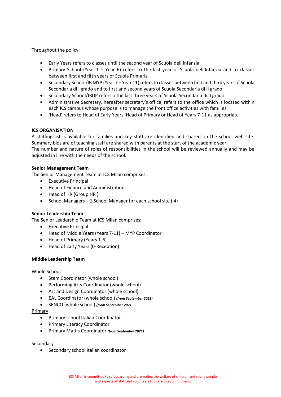Throughout the policy:

- Early Years refers to classes until the second year of Scuola dell'Infanzia
- Primary School (Year 1 Year 6) refers to the last year of Scuola dell'Infanzia and to classes between first and fifth years of Scuola Primaria
- Secondary School/IB MYP (Year 7 Year 11) refers to classes between first and third years of Scuola Secondaria di I grado and to first and second years of Scuola Secondaria di II grado
- Secondary School/IBDP refers o the last three years of Scuola Secondaria di II grado
- Administrative Secretary, hereafter secretary's office, refers to the office which is located within each ICS campus whose purpose is to manage the front office activities with families
- 'Head' refers to Head of Early Years, Head of Primary or Head of Years 7-11 as appropriate

# <span id="page-3-0"></span>**ICS ORGANISATION**

A staffing list is available for families and key staff are identified and shared on the school web site. Summary bios are of teaching staff are shared with parents at the start of the academic year. The number and nature of roles of responsibilities in the school will be reviewed annually and may be adjusted in line with the needs of the school.

# <span id="page-3-1"></span>**Senior Management Team**

The Senior Management Team at ICS Milan comprises:

- Executive Principal
- Head of Finance and Administration
- Head of HR (Group HR )
- School Managers 1 School Manager for each school site ( 4)

# <span id="page-3-2"></span>**Senior Leadership Team**

The Senior Leadership Team at ICS Milan comprises:

- Executive Principal
- Head of Middle Years (Years 7-11) MYP Coordinator
- Head of Primary (Years 1-6)
- Head of Early Years (0-Reception)

# <span id="page-3-3"></span>**Middle Leadership Team**

# Whole School

- Stem Coordinator (whole school)
- Performing Arts Coordinator (whole school)
- Art and Design Coordinator (whole school)
- EAL Coordinator (whole school) *(from September 2021)*
- SENCO (whole school) *(from September 2021*

# Primary

- Primary school Italian Coordinator
- Primary Literacy Coordinator
- Primary Maths Coordinator *(from September 2021)*

# Secondary

• Secondary school Italian coordinator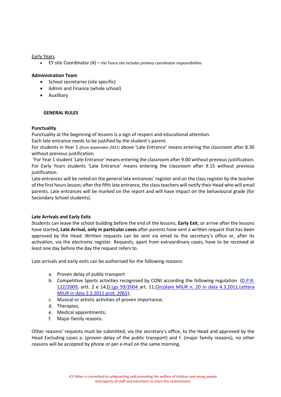Early Years

• EY site Coordinator (4) – *Via Tenca site includes primary coordinator responsibilities*

#### <span id="page-4-0"></span>**Administration Team**

- School secretaries (site specific)
- Admin and Finance (whole school)
- Auxilliary

# <span id="page-4-1"></span>**GENERAL RULES**

#### <span id="page-4-2"></span>**Punctuality**

Punctuality at the beginning of lessons is a sign of respect and educational attention.

Each late entrance needs to be justified by the student's parent.

For students in Year 1 *(from September 2021)* above 'Late Entrance' means entering the classroom after 8.30 without previous justification.

'For Year 1 student 'Late Entrance' means entering the classroom after 9.00 without previous justification. For Early Years students 'Late Entrance' means entering the classroom after 9.15 without previous justification.

Late entrances will be noted on the general late entrances' register and on the class register by the teacher of the first hourslesson; after the fifth late entrance, the class teachers will notify their Head who will email parents. Late entrances will be marked on the report and will have impact on the behavioural grade (for Secondary School students).

# <span id="page-4-3"></span>**Late Arrivals and Early Exits**

Students can leave the school building before the end of the lessons, **Early Exit**, or arrive after the lessons have started**, Late Arrival, only in particular cases** after parents have sent a written request that has been approved by the Head. Written requests can be sent via email to the secretary's office or, after its activation, via the electronic register. Requests, apart from extraordinary cases, have to be received at least one day before the day the request refers to.

Late arrivals and early exits can be authorised for the following reasons:

- a. Proven delay of public transport
- b. Competitive Sports activities recognised by CONI according the following regulation [\(D.P.R.](http://www.istruzione.it/esame_di_stato/Primo_Ciclo/normativa/allegati/dpr122_2009.pdf)  [122/2009,](http://www.istruzione.it/esame_di_stato/Primo_Ciclo/normativa/allegati/dpr122_2009.pdf) artt. 2 e 14[,D.Lgs 59/2004 a](http://archivio.pubblica.istruzione.it/normativa/2004/dec190204.shtml)rt. 11[,Circolare MIUR n. 20 in data 4.3.2011](http://hubmiur.pubblica.istruzione.it/alfresco/d/d/workspace/SpacesStore/ec6d8e5d-4fcb-45a9-8742-7cc11ffa1e63/cm20_11.pdf)[,Lettera](http://www.infoescuola.it/wp-content/uploads/2015/10/protlo2434_11all2.pdf)  [MIUR in data 2.3.2011 prot. 2065\)](http://www.infoescuola.it/wp-content/uploads/2015/10/protlo2434_11all2.pdf);
- c. Musical or artistic activities of proven importance;
- d. Therapies;
- e. Medical appointments;
- f. Major family reasons.

Other reasons' requests must be submitted, via the secretary's office, to the Head and approved by the Head Excluding cases a. (proven delay of the public transport) and f. (major family reasons), no other reasons will be accepted by phone or per e-mail on the same morning.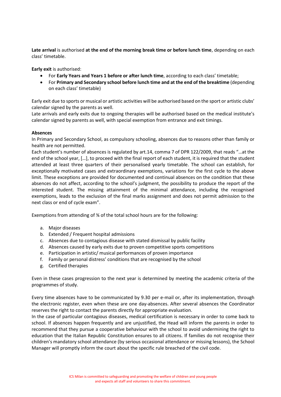**Late arrival** is authorised **at the end of the morning break time or before lunch time**, depending on each class' timetable.

**Early exit** is authorised:

- For **Early Years and Years 1 before or after lunch time**, according to each class' timetable;
- For **Primary and Secondary school before lunch time and at the end of the breaktime** (depending on each class' timetable)

Early exit due to sports or musical or artistic activities will be authorised based on the sport or artistic clubs' calendar signed by the parents as well.

Late arrivals and early exits due to ongoing therapies will be authorised based on the medical institute's calendar signed by parents as well, with special exemption from entrance and exit timings.

# <span id="page-5-0"></span>**Absences**

In Primary and Secondary School, as compulsory schooling, absences due to reasons other than family or health are not permitted.

Each student's number of absences is regulated by art.14, comma 7 of DPR 122/2009, that reads "…at the end of the school year, […], to proceed with the final report of each student, it is required that the student attended at least three quarters of their personalised yearly timetable. The school can establish, for exceptionally motivated cases and extraordinary exemptions, variations for the first cycle to the above limit. These exceptions are provided for documented and continual absences on the condition that these absences do not affect, according to the school's judgment, the possibility to produce the report of the interested student. The missing attainment of the minimal attendance, including the recognised exemptions, leads to the exclusion of the final marks assignment and does not permit admission to the next class or end of cycle exam".

Exemptions from attending of ¾ of the total school hours are for the following:

- a. Major diseases
- b. Extended / Frequent hospital admissions
- c. Absences due to contagious disease with stated dismissal by public facility
- d. Absences caused by early exits due to proven competitive sports competitions
- e. Participation in artistic/ musical performances of proven importance
- f. Family or personal distress' conditions that are recognised by the school
- g. Certified therapies

Even in these cases progression to the next year is determined by meeting the academic criteria of the programmes of study.

Every time absences have to be communicated by 9.30 per e-mail or, after its implementation, through the electronic register, even when these are one day-absences. After several absences the Coordinator reserves the right to contact the parents directly for appropriate evaluation.

In the case of particular contagious diseases, medical certification is necessary in order to come back to school. If absences happen frequently and are unjustified, the Head will inform the parents in order to recommend that they pursue a cooperative behaviour with the school to avoid undermining the right to education that the Italian Republic Constitution ensures to all citizens. If families do not recognise their children's mandatory school attendance (by serious occasional attendance or missing lessons), the School Manager will promptly inform the court about the specific rule breached of the civil code.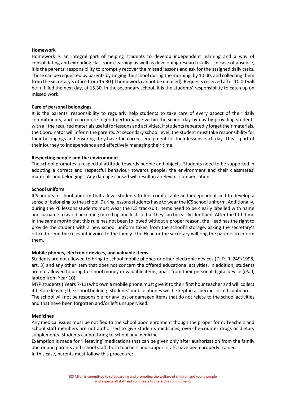#### <span id="page-6-0"></span>**Homework**

Homework is an integral part of helping students to develop independent learning and a way of consolidating and extending classroom learning as well as developing research skills. In case of absence, it is the parents' responsibility to promptly recover the missed lessons and ask for the assigned daily tasks. These can be requested by parents by ringing the school during the morning, by 10.00, and collecting them from the secretary's office from 15.30 (if homework cannot be emailed). Requests received after 10.00 will be fulfilled the next day, at 15.30. In the secondary school, it is the students' responsibility to catch up on missed work.

#### <span id="page-6-1"></span>**Care of personal belongings**

It is the parents' responsibility to regularly help students to take care of every aspect of their daily commitments, and to promote a good performance within the school day by day by providing students with all the required materials useful for lessons and activities. If students repeatedly forget their materials, the Coordinator will inform the parents. At secondary school level, the student must take responsibility for their belongings and ensuring they have the correct equipment for their lessons each day. This is part of their journey to independence and effectively managing their time.

#### <span id="page-6-2"></span>**Respecting people and the environment**

The school promotes a respectful attitude towards people and objects. Students need to be supported in adopting a correct and respectful behaviour towards people, the environment and their classmates' materials and belongings. Any damage caused will result in a relevant compensation.

#### <span id="page-6-3"></span>**School uniform**

ICS adopts a school uniform that allows students to feel comfortable and independent and to develop a sense of belonging to the school. During lessons students have to wear the ICS school uniform. Additionally, during the PE lessons students must wear the ICS tracksuit. Items need to be clearly labelled with name and surname to avoid becoming mixed up and lost so that they can be easily identified. After the fifth time in the same month that this rule has not been followed without a proper reason, the Head has the right to provide the student with a new school uniform taken from the school's storage, asking the secretary's office to send the relevant invoice to the family. The Head or the secretary will ring the parents to inform them.

#### <span id="page-6-4"></span>**Mobile phones, electronic devices, and valuable items**

Students are not allowed to bring to school mobile phones or other electronic devices (D. P. R. 249/1998, art. 3) and any other item that does not concern the offered educational activities. In addition, students are not allowed to bring to school money or valuable items, apart from their personal digital device (iPad, laptop from Year 10).

MYP students ( Years 7-11) who own a mobile phone must give it to their first hour teacher and will collect it before leaving the school building. Students' mobile phones will be kept in a specific locked cupboard. The school will not be responsible for any lost or damaged items that do not relate to the school activities and that have been forgotten and/or left unsupervised.

#### <span id="page-6-5"></span>**Medicines**

Any medical issues must be notified to the school upon enrolment though the proper form. Teachers and school staff members are not authorised to give students medicines, over-the-counter drugs or dietary supplements. Students cannot bring to school any medicine.

Exemption is made for 'lifesaving' medications that can be given only after authorisation from the family doctor and parents and school staff, both teachers and support staff, have been properly trained. In this case, parents must follow this procedure: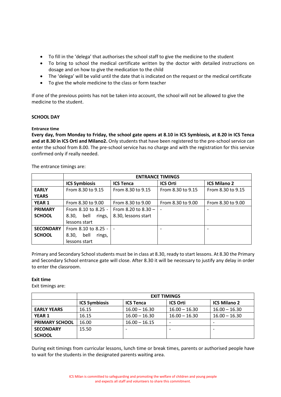- To fill in the 'delega' that authorises the school staff to give the medicine to the student
- To bring to school the medical certificate written by the doctor with detailed instructions on dosage and on how to give the medication to the child
- The 'delega' will be valid until the date that is indicated on the request or the medical certificate
- To give the whole medicine to the class or form teacher

If one of the previous points has not be taken into account, the school will not be allowed to give the medicine to the student.

# <span id="page-7-0"></span>**SCHOOL DAY**

# <span id="page-7-1"></span>**Entrance time**

**Every day, from Monday to Friday, the school gate opens at 8.10 in ICS Symbiosis, at 8.20 in ICS Tenca and at 8.30 in ICS Orti and Milano2.** Only students that have been registered to the pre-school service can enter the school from 8.00. The pre-school service has no charge and with the registration for this service confirmed only if really needed.

The entrance timings are:

|                  | <b>ENTRANCE TIMINGS</b>             |                       |                   |                     |  |
|------------------|-------------------------------------|-----------------------|-------------------|---------------------|--|
|                  | <b>ICS Symbiosis</b>                | <b>ICS Tenca</b>      | <b>ICS Orti</b>   | <b>ICS Milano 2</b> |  |
| <b>EARLY</b>     | From 8.30 to 9.15                   | From 8.30 to 9.15     | From 8.30 to 9.15 | From 8.30 to 9.15   |  |
| <b>YEARS</b>     |                                     |                       |                   |                     |  |
| <b>YEAR 1</b>    | From 8.30 to 9.00                   | From 8.30 to 9.00     | From 8.30 to 9.00 | From 8.30 to 9.00   |  |
| <b>PRIMARY</b>   | From 8.10 to 8.25 -                 | From 8.20 to $8.30 -$ |                   |                     |  |
| <b>SCHOOL</b>    | bell<br>rings,<br>8.30.             | 8.30, lessons start   |                   |                     |  |
|                  | lessons start                       |                       |                   |                     |  |
| <b>SECONDARY</b> | From 8.10 to 8.25 -                 |                       |                   |                     |  |
| <b>SCHOOL</b>    | 8.30 <sub>1</sub><br>bell<br>rings, |                       |                   |                     |  |
|                  | lessons start                       |                       |                   |                     |  |

Primary and Secondary School students must be in class at 8.30, ready to start lessons. At 8.30 the Primary and Secondary School entrance gate will close. After 8.30 it will be necessary to justify any delay in order to enter the classroom.

# <span id="page-7-2"></span>**Exit time**

Exit timings are:

|                       | <b>EXIT TIMINGS</b>  |                  |                 |                     |  |
|-----------------------|----------------------|------------------|-----------------|---------------------|--|
|                       | <b>ICS Symbiosis</b> | <b>ICS Tenca</b> | <b>ICS Orti</b> | <b>ICS Milano 2</b> |  |
| <b>EARLY YEARS</b>    | 16.15                | $16.00 - 16.30$  | $16.00 - 16.30$ | $16.00 - 16.30$     |  |
| <b>YEAR 1</b>         | 16.15                | $16.00 - 16.30$  | $16.00 - 16.30$ | $16.00 - 16.30$     |  |
| <b>PRIMARY SCHOOL</b> | 16.00                | $16.00 - 16.15$  |                 |                     |  |
| <b>SECONDARY</b>      | 15.50                |                  |                 |                     |  |
| <b>SCHOOL</b>         |                      |                  |                 |                     |  |

During exit timings from curricular lessons, lunch time or break times, parents or authorised people have to wait for the students in the designated parents waiting area.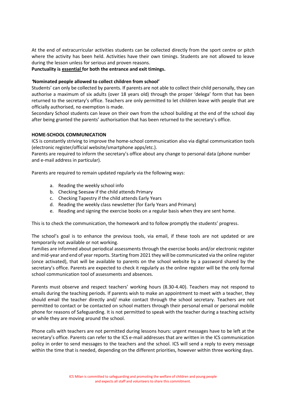At the end of extracurricular activities students can be collected directly from the sport centre or pitch where the activity has been held. Activities have their own timings. Students are not allowed to leave during the lesson unless for serious and proven reasons.

# **Punctuality is essential for both the entrance and exit timings.**

# <span id="page-8-0"></span>*'***Nominated people allowed to collect children from school'**

Students' can only be collected by parents. If parents are not able to collect their child personally, they can authorise a maximum of six adults (over 18 years old) through the proper 'delega' form that has been returned to the secretary's office. Teachers are only permitted to let children leave with people that are officially authorised, no exemption is made.

Secondary School students can leave on their own from the school building at the end of the school day after being granted the parents' authorisation that has been returned to the secretary's office.

# <span id="page-8-1"></span>**HOME-SCHOOL COMMUNICATION**

ICS is constantly striving to improve the home-school communication also via digital communication tools (electronic register/official website/smartphone apps/etc.).

Parents are required to inform the secretary's office about any change to personal data (phone number and e-mail address in particular).

Parents are required to remain updated regularly via the following ways:

- a. Reading the weekly school info
- b. Checking Seesaw if the child attends Primary
- c. Checking Tapestry if the child attends Early Years
- d. Reading the weekly class newsletter (for Early Years and Primary)
- e. Reading and signing the exercise books on a regular basis when they are sent home.

This is to check the communication, the homework and to follow promptly the students' progress.

The school's goal is to enhance the previous tools, via email, if these tools are not updated or are temporarily not available or not working.

Families are informed about periodical assessments through the exercise books and/or electronic register and mid-year and end of year reports. Starting from 2021 they will be communicated via the online register (once activated), that will be available to parents on the school website by a password shared by the secretary's office. Parents are expected to check it regularly as the online register will be the only formal school communication tool of assessments and absences.

Parents must observe and respect teachers' working hours (8.30-4.40). Teachers may not respond to emails during the teaching periods. If parents wish to make an appointment to meet with a teacher, they should email the teacher directly and/ make contact through the school secretary. Teachers are not permitted to contact or be contacted on school matters through their personal email or personal mobile phone for reasons of Safeguarding. It is not permitted to speak with the teacher during a teaching activity or while they are moving around the school.

Phone calls with teachers are not permitted during lessons hours: urgent messages have to be left at the secretary's office. Parents can refer to the ICS e-mail addresses that are written in the ICS communication policy in order to send messages to the teachers and the school. ICS will send a reply to every message within the time that is needed, depending on the different priorities, however within three working days.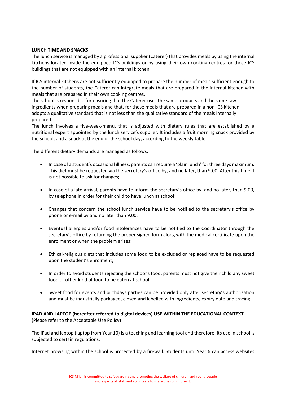# <span id="page-9-0"></span>**LUNCH TIME AND SNACKS**

The lunch service is managed by a professional supplier (Caterer) that provides meals by using the internal kitchens located inside the equipped ICS buildings or by using their own cooking centres for those ICS buildings that are not equipped with an internal kitchen.

If ICS internal kitchens are not sufficiently equipped to prepare the number of meals sufficient enough to the number of students, the Caterer can integrate meals that are prepared in the internal kitchen with meals that are prepared in their own cooking centres.

The school is responsible for ensuring that the Caterer uses the same products and the same raw ingredients when preparing meals and that, for those meals that are prepared in a non-ICS kitchen, adopts a qualitative standard that is not less than the qualitative standard of the meals internally prepared.

The lunch involves a five-week-menu, that is adjusted with dietary rules that are established by a nutritional expert appointed by the lunch service's supplier. It includes a fruit morning snack provided by the school, and a snack at the end of the school day, according to the weekly table.

The different dietary demands are managed as follows:

- In case of a student's occasional illness, parents can require a 'plain lunch' for three days maximum. This diet must be requested via the secretary's office by, and no later, than 9.00. After this time it is not possible to ask for changes;
- In case of a late arrival, parents have to inform the secretary's office by, and no later, than 9.00, by telephone in order for their child to have lunch at school;
- Changes that concern the school lunch service have to be notified to the secretary's office by phone or e-mail by and no later than 9.00.
- Eventual allergies and/or food intolerances have to be notified to the Coordinator through the secretary's office by returning the proper signed form along with the medical certificate upon the enrolment or when the problem arises;
- Ethical-religious diets that includes some food to be excluded or replaced have to be requested upon the student's enrolment;
- In order to avoid students rejecting the school's food, parents must not give their child any sweet food or other kind of food to be eaten at school;
- Sweet food for events and birthdays parties can be provided only after secretary's authorisation and must be industrially packaged, closed and labelled with ingredients, expiry date and tracing.

# <span id="page-9-1"></span>**IPAD AND LAPTOP (hereafter referred to digital devices) USE WITHIN THE EDUCATIONAL CONTEXT** (Please refer to the Acceptable Use Policy)

The iPad and laptop (laptop from Year 10) is a teaching and learning tool and therefore, its use in school is subjected to certain regulations.

Internet browsing within the school is protected by a firewall. Students until Year 6 can access websites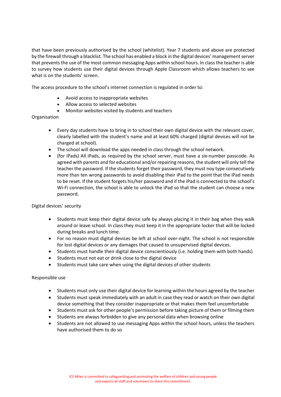that have been previously authorised by the school (whitelist). Year 7 students and above are protected by the firewall through a blacklist. The school has enabled a block in the digital devices' management server that prevents the use of the most common messaging Apps within school hours. In class the teacher is able to survey how students use their digital devices through Apple Classroom which allows teachers to see what is on the students' screen.

The access procedure to the school's internet connection is regulated in order to:

- Avoid access to inappropriate websites
- Allow access to selected websites
- Monitor websites visited by students and teachers

# Organisation

- Every day students have to bring in to school their own digital device with the relevant cover, clearly labelled with the student's name and at least 60% charged (digital devices will not be charged at school).
- The school will download the apps needed in class through the school network.
- (for iPads) All iPads, as required by the school server, must have a six-number passcode. As agreed with parents and for educational and/or repairing reasons, the student will only tell the teacher the password. If the students forget their password, they must noy type consecutively more than ten wrong passwords to avoid disabling their iPad to the point that the iPad needs to be reset. If the student forgets his/her password and if the iPad is connected to the school's Wi-Fi connection, the school is able to unlock the iPad so that the student can choose a new password.

# Digital devices' security

- Students must keep their digital device safe by always placing it in their bag when they walk around or leave school. In class they must keep it in the appropriate locker that will be locked during breaks and lunch time.
- For no reason must digital devices be left at school over-night. The school is not responsible for lost digital devices or any damages that caused to unsupervised digital devices.
- Students must handle their digital device conscientiously (i.e. holding them with both hands)
- Students must not eat or drink close to the digital device
- Students must take care when using the digital devices of other students

# Responsible use

- Students must only use their digital device for learning within the hours agreed by the teacher
- Students must speak immediately with an adult in case they read or watch on their own digital device something that they consider inappropriate or that makes them feel uncomfortable
- Students must ask for other people's permission before taking picture of them or filming them
- Students are always forbidden to give any personal data when browsing online
- Students are not allowed to use messaging Apps within the school hours, unless the teachers have authorised them to do so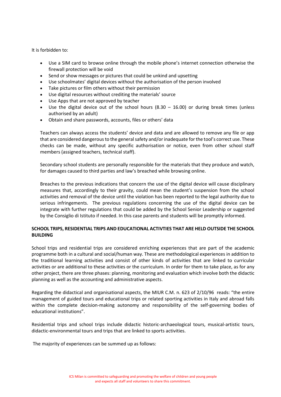It is forbidden to:

- Use a SIM card to browse online through the mobile phone's internet connection otherwise the firewall protection will be void
- Send or show messages or pictures that could be unkind and upsetting
- Use schoolmates' digital devices without the authorisation of the person involved
- Take pictures or film others without their permission
- Use digital resources without crediting the materials' source
- Use Apps that are not approved by teacher
- Use the digital device out of the school hours  $(8.30 16.00)$  or during break times (unless authorised by an adult)
- Obtain and share passwords, accounts, files or others' data

Teachers can always access the students' device and data and are allowed to remove any file or app that are considered dangerous to the general safety and/or inadequate for the tool's correct use. These checks can be made, without any specific authorisation or notice, even from other school staff members (assigned teachers, technical staff).

Secondary school students are personally responsible for the materials that they produce and watch, for damages caused to third parties and law's breached while browsing online.

Breaches to the previous indications that concern the use of the digital device will cause disciplinary measures that, accordingly to their gravity, could mean the student's suspension from the school activities and removal of the device until the violation has been reported to the legal authority due to serious infringements. The previous regulations concerning the use of the digital device can be integrate with further regulations that could be added by the School Senior Leadership or suggested by the Consiglio di Istituto if needed. In this case parents and students will be promptly informed.

# <span id="page-11-0"></span>**SCHOOL TRIPS, RESIDENTIAL TRIPS AND EDUCATIONAL ACTIVTIES THAT ARE HELD OUTSIDE THE SCHOOL BUILDING**

School trips and residential trips are considered enriching experiences that are part of the academic programme both in a cultural and social/human way. These are methodological experiences in addition to the traditional learning activities and consist of other kinds of activities that are linked to curricular activities or are additional to these activities or the curriculum. In order for them to take place, as for any other project, there are three phases: planning, monitoring and evaluation which involve both the didactic planning as well as the accounting and administrative aspects.

Regarding the didactical and organisational aspects, the MIUR C.M. n. 623 of 2/10/96 reads: "the entire management of guided tours and educational trips or related sporting activities in Italy and abroad falls within the complete decision-making autonomy and responsibility of the self-governing bodies of educational institutions".

Residential trips and school trips include didactic historic-archaeological tours, musical-artistic tours, didactic-environmental tours and trips that are linked to sports activities.

The majority of experiences can be summed up as follows: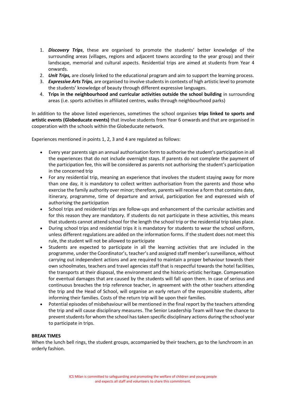- 1. *Discovery Trips*, these are organised to promote the students' better knowledge of the surrounding areas (villages, regions and adjacent towns according to the year group) and their landscape, memorial and cultural aspects. Residential trips are aimed at students from Year 4 onwards.
- 2. *Unit Trips,* are closely linked to the educational program and aim to support the learning process.
- 3. *Expressive Arts Trips,* are organised to involve students in contexts of high artistic level to promote the students' knowledge of beauty through different expressive languages.
- 4. **Trips in the neighbourhood and curricular activities outside the school building** in surrounding areas (i.e. sports activities in affiliated centres, walks through neighbourhood parks)

In addition to the above listed experiences, sometimes the school organises **trips linked to sports and artistic events (Globeducate events)** that involve students from Year 6 onwards and that are organised in cooperation with the schools within the Globeducate network.

Experiences mentioned in points 1, 2, 3 and 4 are regulated as follows:

- Every year parents sign an annual authorisation form to authorise the student's participation in all the experiences that do not include overnight stays. If parents do not complete the payment of the participation fee, this will be considered as parents not authorising the student's participation in the concerned trip
- For any residential trip, meaning an experience that involves the student staying away for more than one day, it is mandatory to collect written authorisation from the parents and those who exercise the family authority over minor; therefore, parents will receive a form that contains date, itinerary, programme, time of departure and arrival, participation fee and expressed wish of authorising the participation
- School trips and residential trips are follow-ups and enhancement of the curricular activities and for this reason they are mandatory. If students do not participate in these activities, this means that students cannot attend school for the length the school trip or the residential trip takes place.
- During school trips and residential trips it is mandatory for students to wear the school uniform, unless different regulations are added on the information forms. If the student does not meet this rule, the student will not be allowed to participate
- Students are expected to participate in all the learning activities that are included in the programme, under the Coordinator's, teacher's and assigned staff member's surveillance, without carrying out independent actions and are required to maintain a proper behaviour towards their own schoolmates, teachers and travel agencies staff that is respectful towards the hotel facilities, the transports at their disposal, the environment and the historic-artistic heritage. Compensation for eventual damages that are caused by the students will fall upon them. In case of serious and continuous breaches the trip reference teacher, in agreement with the other teachers attending the trip and the Head of School, will organise an early return of the responsible students, after informing their families. Costs of the return trip will be upon their families.
- Potential episodes of misbehaviour will be mentioned in the final report by the teachers attending the trip and will cause disciplinary measures. The Senior Leadership Team will have the chance to prevent students for whom the school has taken specific disciplinary actions during the school year to participate in trips.

# <span id="page-12-0"></span>**BREAK TIMES**

When the lunch bell rings, the student groups, accompanied by their teachers, go to the lunchroom in an orderly fashion.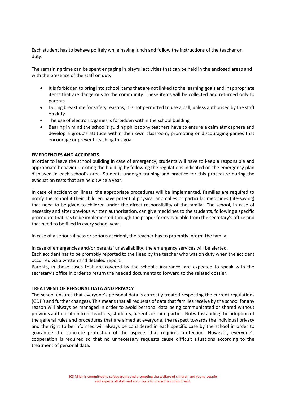Each student has to behave politely while having lunch and follow the instructions of the teacher on duty.

The remaining time can be spent engaging in playful activities that can be held in the enclosed areas and with the presence of the staff on duty.

- It is forbidden to bring into school items that are not linked to the learning goals and inappropriate items that are dangerous to the community. These items will be collected and returned only to parents.
- During breaktime for safety reasons, it is not permitted to use a ball, unless authorised by the staff on duty
- The use of electronic games is forbidden within the school building
- Bearing in mind the school's guiding philosophy teachers have to ensure a calm atmosphere and develop a group's attitude within their own classroom, promoting or discouraging games that encourage or prevent reaching this goal.

# <span id="page-13-0"></span>**EMERGENCIES AND ACCIDENTS**

In order to leave the school building in case of emergency, students will have to keep a responsible and appropriate behaviour, exiting the building by following the regulations indicated on the emergency plan displayed in each school's area. Students undergo training and practice for this procedure during the evacuation tests that are held twice a year.

In case of accident or illness, the appropriate procedures will be implemented. Families are required to notify the school if their children have potential physical anomalies or particular medicines (life-saving) that need to be given to children under the direct responsibility of the family'. The school, in case of necessity and after previous written authorisation, can give medicines to the students, following a specific procedure that has to be implemented through the proper forms available from the secretary's office and that need to be filled in every school year.

In case of a serious illness or serious accident, the teacher has to promptly inform the family.

In case of emergencies and/or parents' unavailability, the emergency services will be alerted.

Each accident has to be promptly reported to the Head by the teacher who was on duty when the accident occurred via a written and detailed report.

Parents, in those cases that are covered by the school's insurance, are expected to speak with the secretary's office in order to return the needed documents to forward to the related dossier.

#### <span id="page-13-1"></span>**TREATMENT OF PERSONAL DATA AND PRIVACY**

The school ensures that everyone's personal data is correctly treated respecting the current regulations (GDPR and further changes). This means that all requests of data that families receive by the school for any reason will always be managed in order to avoid personal data being communicated or shared without previous authorisation from teachers, students, parents or third parties. Notwithstanding the adoption of the general rules and procedures that are aimed at everyone, the respect towards the individual privacy and the right to be informed will always be considered in each specific case by the school in order to guarantee the concrete protection of the aspects that requires protection. However, everyone's cooperation is required so that no unnecessary requests cause difficult situations according to the treatment of personal data.